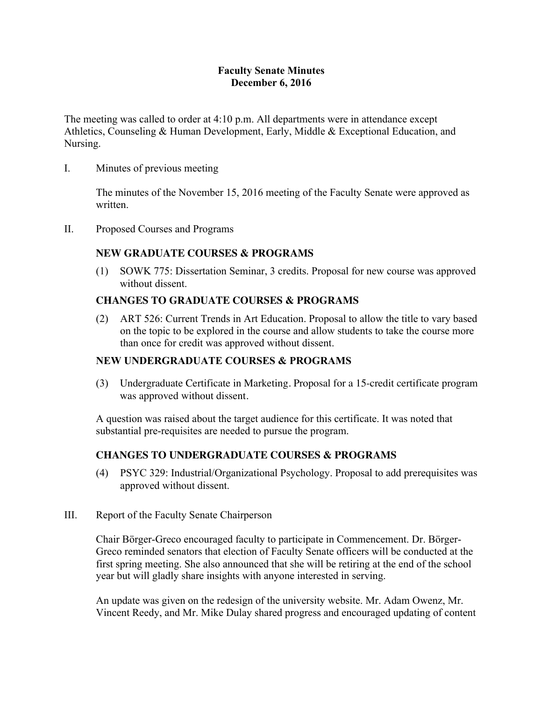## **Faculty Senate Minutes December 6, 2016**

The meeting was called to order at 4:10 p.m. All departments were in attendance except Athletics, Counseling & Human Development, Early, Middle & Exceptional Education, and Nursing.

I. Minutes of previous meeting

The minutes of the November 15, 2016 meeting of the Faculty Senate were approved as written.

II. Proposed Courses and Programs

# **NEW GRADUATE COURSES & PROGRAMS**

(1) SOWK 775: Dissertation Seminar, 3 credits. Proposal for new course was approved without dissent.

## **CHANGES TO GRADUATE COURSES & PROGRAMS**

(2) ART 526: Current Trends in Art Education. Proposal to allow the title to vary based on the topic to be explored in the course and allow students to take the course more than once for credit was approved without dissent.

## **NEW UNDERGRADUATE COURSES & PROGRAMS**

(3) Undergraduate Certificate in Marketing. Proposal for a 15-credit certificate program was approved without dissent.

A question was raised about the target audience for this certificate. It was noted that substantial pre-requisites are needed to pursue the program.

## **CHANGES TO UNDERGRADUATE COURSES & PROGRAMS**

- (4) PSYC 329: Industrial/Organizational Psychology. Proposal to add prerequisites was approved without dissent.
- III. Report of the Faculty Senate Chairperson

Chair Börger-Greco encouraged faculty to participate in Commencement. Dr. Börger-Greco reminded senators that election of Faculty Senate officers will be conducted at the first spring meeting. She also announced that she will be retiring at the end of the school year but will gladly share insights with anyone interested in serving.

An update was given on the redesign of the university website. Mr. Adam Owenz, Mr. Vincent Reedy, and Mr. Mike Dulay shared progress and encouraged updating of content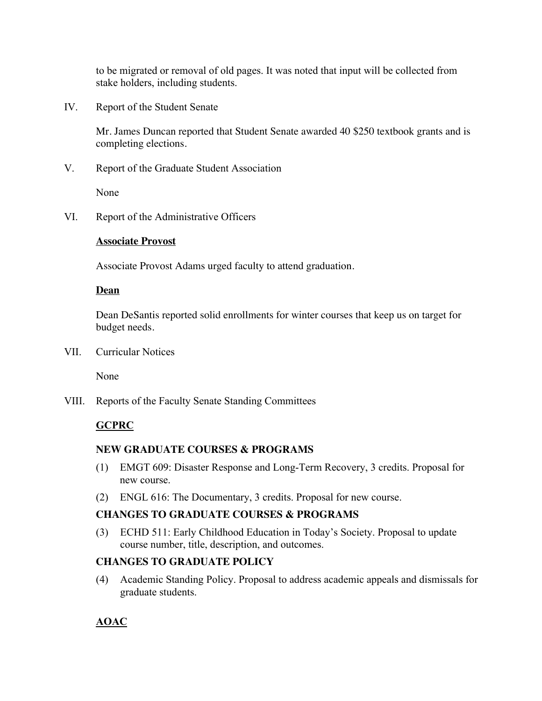to be migrated or removal of old pages. It was noted that input will be collected from stake holders, including students.

IV. Report of the Student Senate

Mr. James Duncan reported that Student Senate awarded 40 \$250 textbook grants and is completing elections.

V. Report of the Graduate Student Association

None

VI. Report of the Administrative Officers

#### **Associate Provost**

Associate Provost Adams urged faculty to attend graduation.

#### **Dean**

Dean DeSantis reported solid enrollments for winter courses that keep us on target for budget needs.

VII. Curricular Notices

None

VIII. Reports of the Faculty Senate Standing Committees

## **GCPRC**

#### **NEW GRADUATE COURSES & PROGRAMS**

- (1) EMGT 609: Disaster Response and Long-Term Recovery, 3 credits. Proposal for new course.
- (2) ENGL 616: The Documentary, 3 credits. Proposal for new course.

#### **CHANGES TO GRADUATE COURSES & PROGRAMS**

(3) ECHD 511: Early Childhood Education in Today's Society. Proposal to update course number, title, description, and outcomes.

#### **CHANGES TO GRADUATE POLICY**

(4) Academic Standing Policy. Proposal to address academic appeals and dismissals for graduate students.

## **AOAC**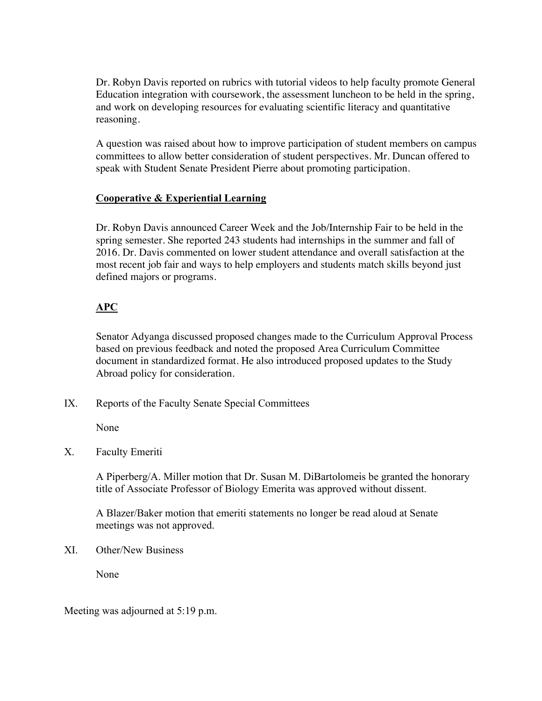Dr. Robyn Davis reported on rubrics with tutorial videos to help faculty promote General Education integration with coursework, the assessment luncheon to be held in the spring, and work on developing resources for evaluating scientific literacy and quantitative reasoning.

A question was raised about how to improve participation of student members on campus committees to allow better consideration of student perspectives. Mr. Duncan offered to speak with Student Senate President Pierre about promoting participation.

# **Cooperative & Experiential Learning**

Dr. Robyn Davis announced Career Week and the Job/Internship Fair to be held in the spring semester. She reported 243 students had internships in the summer and fall of 2016. Dr. Davis commented on lower student attendance and overall satisfaction at the most recent job fair and ways to help employers and students match skills beyond just defined majors or programs.

# **APC**

Senator Adyanga discussed proposed changes made to the Curriculum Approval Process based on previous feedback and noted the proposed Area Curriculum Committee document in standardized format. He also introduced proposed updates to the Study Abroad policy for consideration.

IX. Reports of the Faculty Senate Special Committees

None

X. Faculty Emeriti

A Piperberg/A. Miller motion that Dr. Susan M. DiBartolomeis be granted the honorary title of Associate Professor of Biology Emerita was approved without dissent.

A Blazer/Baker motion that emeriti statements no longer be read aloud at Senate meetings was not approved.

XI. Other/New Business

None

Meeting was adjourned at 5:19 p.m.